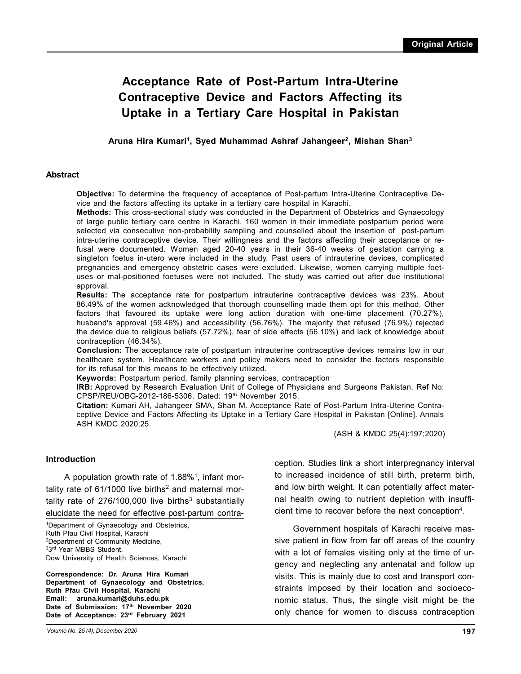# **Acceptance Rate of Post-Partum Intra-Uterine Contraceptive Device and Factors Affecting its Uptake in a Tertiary Care Hospital in Pakistan**

**Aruna Hira Kumari<sup>1</sup> , Syed Muhammad Ashraf Jahangeer<sup>2</sup> , Mishan Shan3**

#### **Abstract**

**Objective:** To determine the frequency of acceptance of Post-partum Intra-Uterine Contraceptive Device and the factors affecting its uptake in a tertiary care hospital in Karachi.

**Methods:** This cross-sectional study was conducted in the Department of Obstetrics and Gynaecology of large public tertiary care centre in Karachi. 160 women in their immediate postpartum period were selected via consecutive non-probability sampling and counselled about the insertion of post-partum intra-uterine contraceptive device. Their willingness and the factors affecting their acceptance or refusal were documented. Women aged 20-40 years in their 36-40 weeks of gestation carrying a singleton foetus in-utero were included in the study. Past users of intrauterine devices, complicated pregnancies and emergency obstetric cases were excluded. Likewise, women carrying multiple foetuses or mal-positioned foetuses were not included. The study was carried out after due institutional approval.

**Results:** The acceptance rate for postpartum intrauterine contraceptive devices was 23%. About 86.49% of the women acknowledged that thorough counselling made them opt for this method. Other factors that favoured its uptake were long action duration with one-time placement (70.27%), husband's approval (59.46%) and accessibility (56.76%). The majority that refused (76.9%) rejected the device due to religious beliefs (57.72%), fear of side effects (56.10%) and lack of knowledge about contraception (46.34%).

**Conclusion:** The acceptance rate of postpartum intrauterine contraceptive devices remains low in our healthcare system. Healthcare workers and policy makers need to consider the factors responsible for its refusal for this means to be effectively utilized.

**Keywords:** Postpartum period, family planning services, contraception

**IRB:** Approved by Research Evaluation Unit of College of Physicians and Surgeons Pakistan. Ref No: CPSP/REU/OBG-2012-186-5306. Dated: 19th November 2015.

**Citation:** Kumari AH, Jahangeer SMA, Shan M. Acceptance Rate of Post-Partum Intra-Uterine Contraceptive Device and Factors Affecting its Uptake in a Tertiary Care Hospital in Pakistan [Online]. Annals ASH KMDC 2020;25.

(ASH & KMDC 25(4):197;2020)

#### **Introduction**

A population growth rate of 1.88% $^1$ , infant mortality rate of 61/1000 live births<sup>2</sup> and maternal mortality rate of 276/100,000 live births<sup>3</sup> substantially elucidate the need for effective post-partum contra-

<sup>1</sup>Department of Gynaecology and Obstetrics, Ruth Pfau Civil Hospital, Karachi <sup>2</sup>Department of Community Medicine, 33 rd Year MBBS Student, Dow University of Health Sciences, Karachi

**Correspondence: Dr. Aruna Hira Kumari Department of Gynaecology and Obstetrics, Ruth Pfau Civil Hospital, Karachi Email: aruna.kumari@duhs.edu.pk Date of Submission: 17th November 2020 Date of Acceptance: 23rd February 2021**

*Volume No. 25 (4), December 2020*

ception. Studies link a short interpregnancy interval to increased incidence of still birth, preterm birth, and low birth weight. It can potentially affect maternal health owing to nutrient depletion with insufficient time to recover before the next conception<sup>4</sup>.

Government hospitals of Karachi receive massive patient in flow from far off areas of the country with a lot of females visiting only at the time of urgency and neglecting any antenatal and follow up visits. This is mainly due to cost and transport constraints imposed by their location and socioeconomic status. Thus, the single visit might be the only chance for women to discuss contraception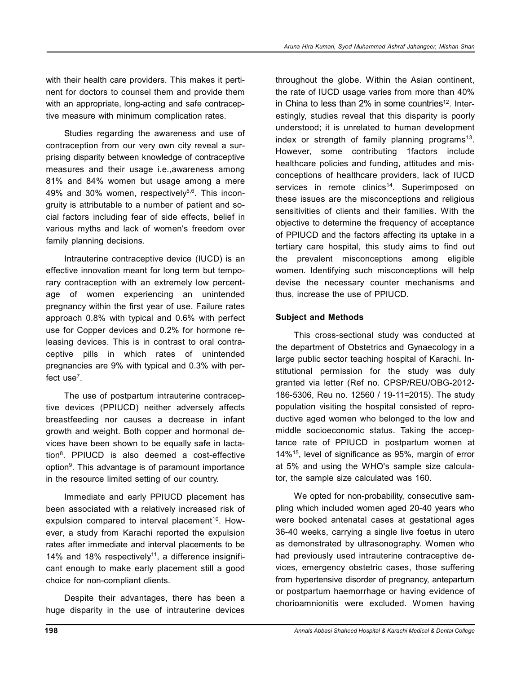with their health care providers. This makes it pertinent for doctors to counsel them and provide them with an appropriate, long-acting and safe contraceptive measure with minimum complication rates.

Studies regarding the awareness and use of contraception from our very own city reveal a surprising disparity between knowledge of contraceptive measures and their usage i.e.,awareness among 81% and 84% women but usage among a mere 49% and 30% women, respectively $5,6$ . This incongruity is attributable to a number of patient and social factors including fear of side effects, belief in various myths and lack of women's freedom over family planning decisions.

Intrauterine contraceptive device (IUCD) is an effective innovation meant for long term but temporary contraception with an extremely low percentage of women experiencing an unintended pregnancy within the first year of use. Failure rates approach 0.8% with typical and 0.6% with perfect use for Copper devices and 0.2% for hormone releasing devices. This is in contrast to oral contraceptive pills in which rates of unintended pregnancies are 9% with typical and 0.3% with perfect use<sup>7</sup>.

The use of postpartum intrauterine contraceptive devices (PPIUCD) neither adversely affects breastfeeding nor causes a decrease in infant growth and weight. Both copper and hormonal devices have been shown to be equally safe in lactation<sup>8</sup> . PPIUCD is also deemed a cost-effective option<sup>9</sup>. This advantage is of paramount importance in the resource limited setting of our country.

Immediate and early PPIUCD placement has been associated with a relatively increased risk of expulsion compared to interval placement<sup>10</sup>. However, a study from Karachi reported the expulsion rates after immediate and interval placements to be 14% and 18% respectively<sup>11</sup>, a difference insignificant enough to make early placement still a good choice for non-compliant clients.

Despite their advantages, there has been a huge disparity in the use of intrauterine devices

throughout the globe. Within the Asian continent, the rate of IUCD usage varies from more than 40% in China to less than  $2\%$  in some countries<sup>12</sup>. Interestingly, studies reveal that this disparity is poorly understood; it is unrelated to human development index or strength of family planning programs<sup>13</sup>. However, some contributing 1factors include healthcare policies and funding, attitudes and misconceptions of healthcare providers, lack of IUCD services in remote clinics<sup>14</sup>. Superimposed on these issues are the misconceptions and religious sensitivities of clients and their families. With the objective to determine the frequency of acceptance of PPIUCD and the factors affecting its uptake in a tertiary care hospital, this study aims to find out the prevalent misconceptions among eligible women. Identifying such misconceptions will help devise the necessary counter mechanisms and thus, increase the use of PPIUCD.

# **Subject and Methods**

This cross-sectional study was conducted at the department of Obstetrics and Gynaecology in a large public sector teaching hospital of Karachi. Institutional permission for the study was duly granted via letter (Ref no. CPSP/REU/OBG-2012- 186-5306, Reu no. 12560 / 19-11=2015). The study population visiting the hospital consisted of reproductive aged women who belonged to the low and middle socioeconomic status. Taking the acceptance rate of PPIUCD in postpartum women at 14%<sup>15</sup>, level of significance as 95%, margin of error at 5% and using the WHO's sample size calculator, the sample size calculated was 160.

We opted for non-probability, consecutive sampling which included women aged 20-40 years who were booked antenatal cases at gestational ages 36-40 weeks, carrying a single live foetus in utero as demonstrated by ultrasonography. Women who had previously used intrauterine contraceptive devices, emergency obstetric cases, those suffering from hypertensive disorder of pregnancy, antepartum or postpartum haemorrhage or having evidence of chorioamnionitis were excluded. Women having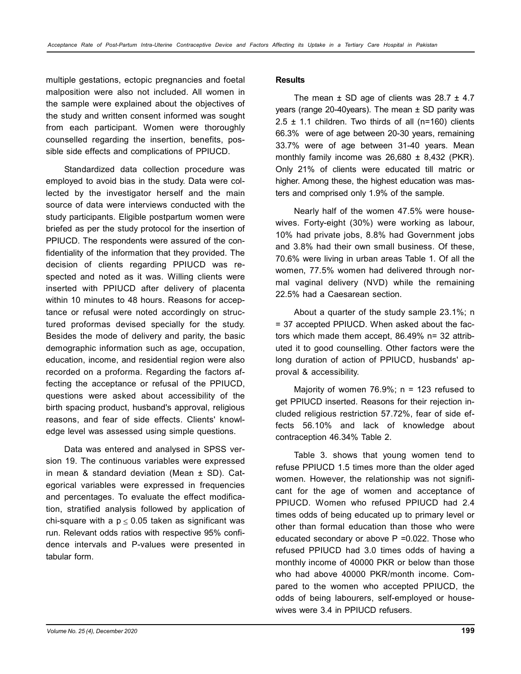multiple gestations, ectopic pregnancies and foetal malposition were also not included. All women in the sample were explained about the objectives of the study and written consent informed was sought from each participant. Women were thoroughly counselled regarding the insertion, benefits, possible side effects and complications of PPIUCD.

Standardized data collection procedure was employed to avoid bias in the study. Data were collected by the investigator herself and the main source of data were interviews conducted with the study participants. Eligible postpartum women were briefed as per the study protocol for the insertion of PPIUCD. The respondents were assured of the confidentiality of the information that they provided. The decision of clients regarding PPIUCD was respected and noted as it was. Willing clients were inserted with PPIUCD after delivery of placenta within 10 minutes to 48 hours. Reasons for acceptance or refusal were noted accordingly on structured proformas devised specially for the study. Besides the mode of delivery and parity, the basic demographic information such as age, occupation, education, income, and residential region were also recorded on a proforma. Regarding the factors affecting the acceptance or refusal of the PPIUCD, questions were asked about accessibility of the birth spacing product, husband's approval, religious reasons, and fear of side effects. Clients' knowledge level was assessed using simple questions.

Data was entered and analysed in SPSS version 19. The continuous variables were expressed in mean & standard deviation (Mean  $\pm$  SD). Categorical variables were expressed in frequencies and percentages. To evaluate the effect modification, stratified analysis followed by application of chi-square with a  $p \le 0.05$  taken as significant was run. Relevant odds ratios with respective 95% confidence intervals and P-values were presented in tabular form.

#### **Results**

The mean  $\pm$  SD age of clients was 28.7  $\pm$  4.7 years (range 20-40 years). The mean  $\pm$  SD parity was  $2.5 \pm 1.1$  children. Two thirds of all (n=160) clients 66.3% were of age between 20-30 years, remaining 33.7% were of age between 31-40 years. Mean monthly family income was  $26,680 \pm 8,432$  (PKR). Only 21% of clients were educated till matric or higher. Among these, the highest education was masters and comprised only 1.9% of the sample.

Nearly half of the women 47.5% were housewives. Forty-eight (30%) were working as labour, 10% had private jobs, 8.8% had Government jobs and 3.8% had their own small business. Of these, 70.6% were living in urban areas Table 1. Of all the women, 77.5% women had delivered through normal vaginal delivery (NVD) while the remaining 22.5% had a Caesarean section.

About a quarter of the study sample 23.1%; n = 37 accepted PPIUCD. When asked about the factors which made them accept, 86.49% n= 32 attributed it to good counselling. Other factors were the long duration of action of PPIUCD, husbands' approval & accessibility.

Majority of women 76.9%;  $n = 123$  refused to get PPIUCD inserted. Reasons for their rejection included religious restriction 57.72%, fear of side effects 56.10% and lack of knowledge about contraception 46.34% Table 2.

Table 3. shows that young women tend to refuse PPIUCD 1.5 times more than the older aged women. However, the relationship was not significant for the age of women and acceptance of PPIUCD. Women who refused PPIUCD had 2.4 times odds of being educated up to primary level or other than formal education than those who were educated secondary or above P =0.022. Those who refused PPIUCD had 3.0 times odds of having a monthly income of 40000 PKR or below than those who had above 40000 PKR/month income. Compared to the women who accepted PPIUCD, the odds of being labourers, self-employed or housewives were 3.4 in PPIUCD refusers.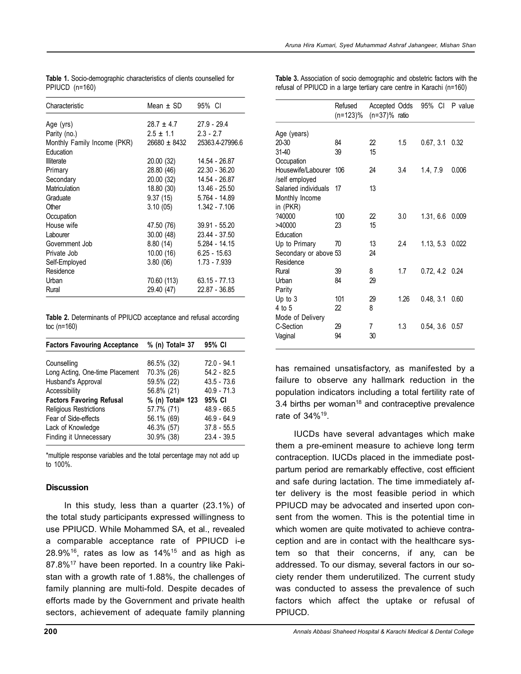| Characteristic              | Mean $\pm$ SD  | 95% CI          |
|-----------------------------|----------------|-----------------|
| Age (yrs)                   | $28.7 \pm 4.7$ | $27.9 - 29.4$   |
| Parity (no.)                | $2.5 \pm 1.1$  | $2.3 - 2.7$     |
| Monthly Family Income (PKR) | 26680 ± 8432   | 25363.4-27996.6 |
| Education                   |                |                 |
| <b>Illiterate</b>           | 20.00 (32)     | 14.54 - 26.87   |
| Primary                     | 28.80 (46)     | 22.30 - 36.20   |
| Secondary                   | 20.00 (32)     | 14.54 - 26.87   |
| Matriculation               | 18.80 (30)     | 13.46 - 25.50   |
| Graduate                    | 9.37 (15)      | 5.764 - 14.89   |
| Other                       | 3.10(05)       | $1.342 - 7.106$ |
| Occupation                  |                |                 |
| House wife                  | 47.50 (76)     | 39.91 - 55.20   |
| Labourer                    | 30.00 (48)     | 23.44 - 37.50   |
| Government Job              | 8.80(14)       | $5.284 - 14.15$ |
| Private Job                 | 10.00 (16)     | $6.25 - 15.63$  |
| Self-Employed               | 3.80(06)       | 1.73 - 7.939    |
| Residence                   |                |                 |
| Urban                       | 70.60 (113)    | $63.15 - 77.13$ |
| Rural                       | 29.40 (47)     | 22.87 - 36.85   |

| Table 1. Socio-demographic characteristics of clients counselled for |
|----------------------------------------------------------------------|
| PPIUCD (n=160)                                                       |

**Table 3.** Association of socio demographic and obstetric factors with the refusal of PPIUCD in a large tertiary care centre in Karachi (n=160)

Refused Accepted Odds 95% CI P value

|                       | (n=123)% (n=37)% ratio |    |      |                  |       |
|-----------------------|------------------------|----|------|------------------|-------|
| Age (years)           |                        |    |      |                  |       |
| $20 - 30$             | 84                     | 22 | 1.5  | 0.67, 3.1        | 0.32  |
| 31-40                 | 39                     | 15 |      |                  |       |
| Occupation            |                        |    |      |                  |       |
| Housewife/Labourer    | 106                    | 24 | 3.4  | 1.4, 7.9         | 0.006 |
| /self employed        |                        |    |      |                  |       |
| Salaried individuals  | 17                     | 13 |      |                  |       |
| Monthly Income        |                        |    |      |                  |       |
| in (PKR)              |                        |    |      |                  |       |
| ?40000                | 100                    | 22 | 3.0  | 1.31, 6.6        | 0.009 |
| >40000                | 23                     | 15 |      |                  |       |
| Education             |                        |    |      |                  |       |
| Up to Primary         | 70                     | 13 | 2.4  | 1.13, 5.3 0.022  |       |
| Secondary or above 53 |                        | 24 |      |                  |       |
| Residence             |                        |    |      |                  |       |
| Rural                 | 39                     | 8  | 1.7  | $0.72, 4.2$ 0.24 |       |
| Urban                 | 84                     | 29 |      |                  |       |
| Parity                |                        |    |      |                  |       |
| Up to $3$             | 101                    | 29 | 1.26 | 0.48, 3.1        | 0.60  |
| 4 to 5                | 22                     | 8  |      |                  |       |
| Mode of Delivery      |                        |    |      |                  |       |
| C-Section             | 29                     | 7  | 1.3  | 0.54, 3.6        | 0.57  |
| Vaginal               | 94                     | 30 |      |                  |       |
|                       |                        |    |      |                  |       |

has remained unsatisfactory, as manifested by a failure to observe any hallmark reduction in the population indicators including a total fertility rate of 3.4 births per woman<sup>18</sup> and contraceptive prevalence rate of 34%<sup>19</sup>.

IUCDs have several advantages which make them a pre-eminent measure to achieve long term contraception. IUCDs placed in the immediate postpartum period are remarkably effective, cost efficient and safe during lactation. The time immediately after delivery is the most feasible period in which PPIUCD may be advocated and inserted upon consent from the women. This is the potential time in which women are quite motivated to achieve contraception and are in contact with the healthcare system so that their concerns, if any, can be addressed. To our dismay, several factors in our society render them underutilized. The current study was conducted to assess the prevalence of such factors which affect the uptake or refusal of PPIUCD.

**Table 2.** Determinants of PPIUCD acceptance and refusal according toc (n=160)

| <b>Factors Favouring Acceptance</b> | % (n) Total= 37  | 95% CI        |
|-------------------------------------|------------------|---------------|
| Counselling                         | 86.5% (32)       | 72.0 - 94.1   |
| Long Acting, One-time Placement     | 70.3% (26)       | $54.2 - 82.5$ |
| Husband's Approval                  | 59.5% (22)       | $43.5 - 73.6$ |
| Accessibility                       | 56.8% (21)       | $40.9 - 71.3$ |
| <b>Factors Favoring Refusal</b>     | % (n) Total= 123 | 95% CI        |
| Religious Restrictions              | 57.7% (71)       | $48.9 - 66.5$ |
| Fear of Side-effects                | 56.1% (69)       | $46.9 - 64.9$ |
| Lack of Knowledge                   | 46.3% (57)       | $37.8 - 55.5$ |
| <b>Finding it Unnecessary</b>       | 30.9% (38)       | $23.4 - 39.5$ |

\*multiple response variables and the total percentage may not add up to 100%.

## **Discussion**

In this study, less than a quarter (23.1%) of the total study participants expressed willingness to use PPIUCD. While Mohammed SA, et al., revealed a comparable acceptance rate of PPIUCD i-e  $28.9\%$ <sup>16</sup>, rates as low as  $14\%$ <sup>15</sup> and as high as 87.8%<sup>17</sup> have been reported. In a country like Pakistan with a growth rate of 1.88%, the challenges of family planning are multi-fold. Despite decades of efforts made by the Government and private health sectors, achievement of adequate family planning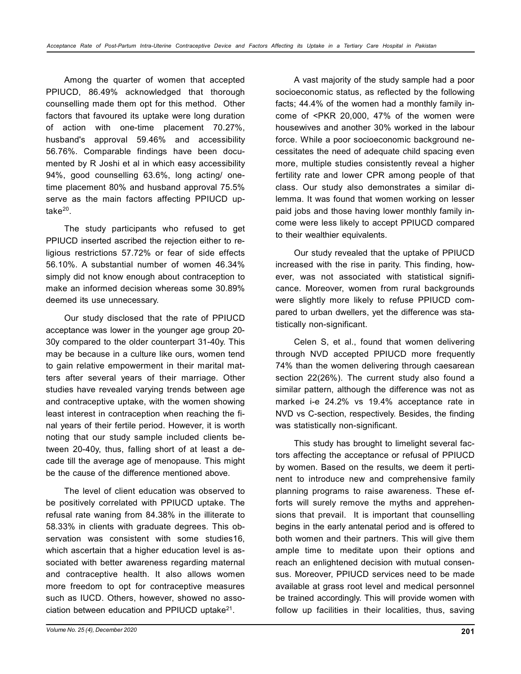Among the quarter of women that accepted PPIUCD, 86.49% acknowledged that thorough counselling made them opt for this method. Other factors that favoured its uptake were long duration of action with one-time placement 70.27%, husband's approval 59.46% and accessibility 56.76%. Comparable findings have been documented by R Joshi et al in which easy accessibility 94%, good counselling 63.6%, long acting/ onetime placement 80% and husband approval 75.5% serve as the main factors affecting PPIUCD uptake<sup>20</sup>.

The study participants who refused to get PPIUCD inserted ascribed the rejection either to religious restrictions 57.72% or fear of side effects 56.10%. A substantial number of women 46.34% simply did not know enough about contraception to make an informed decision whereas some 30.89% deemed its use unnecessary.

Our study disclosed that the rate of PPIUCD acceptance was lower in the younger age group 20- 30y compared to the older counterpart 31-40y. This may be because in a culture like ours, women tend to gain relative empowerment in their marital matters after several years of their marriage. Other studies have revealed varying trends between age and contraceptive uptake, with the women showing least interest in contraception when reaching the final years of their fertile period. However, it is worth noting that our study sample included clients between 20-40y, thus, falling short of at least a decade till the average age of menopause. This might be the cause of the difference mentioned above.

The level of client education was observed to be positively correlated with PPIUCD uptake. The refusal rate waning from 84.38% in the illiterate to 58.33% in clients with graduate degrees. This observation was consistent with some studies16, which ascertain that a higher education level is associated with better awareness regarding maternal and contraceptive health. It also allows women more freedom to opt for contraceptive measures such as IUCD. Others, however, showed no association between education and PPIUCD uptake $^{21}$ .

A vast majority of the study sample had a poor socioeconomic status, as reflected by the following facts; 44.4% of the women had a monthly family income of <PKR 20,000, 47% of the women were housewives and another 30% worked in the labour force. While a poor socioeconomic background necessitates the need of adequate child spacing even more, multiple studies consistently reveal a higher fertility rate and lower CPR among people of that class. Our study also demonstrates a similar dilemma. It was found that women working on lesser paid jobs and those having lower monthly family income were less likely to accept PPIUCD compared to their wealthier equivalents.

Our study revealed that the uptake of PPIUCD increased with the rise in parity. This finding, however, was not associated with statistical significance. Moreover, women from rural backgrounds were slightly more likely to refuse PPIUCD compared to urban dwellers, yet the difference was statistically non-significant.

Celen S, et al., found that women delivering through NVD accepted PPIUCD more frequently 74% than the women delivering through caesarean section 22(26%). The current study also found a similar pattern, although the difference was not as marked i-e 24.2% vs 19.4% acceptance rate in NVD vs C-section, respectively. Besides, the finding was statistically non-significant.

This study has brought to limelight several factors affecting the acceptance or refusal of PPIUCD by women. Based on the results, we deem it pertinent to introduce new and comprehensive family planning programs to raise awareness. These efforts will surely remove the myths and apprehensions that prevail. It is important that counselling begins in the early antenatal period and is offered to both women and their partners. This will give them ample time to meditate upon their options and reach an enlightened decision with mutual consensus. Moreover, PPIUCD services need to be made available at grass root level and medical personnel be trained accordingly. This will provide women with follow up facilities in their localities, thus, saving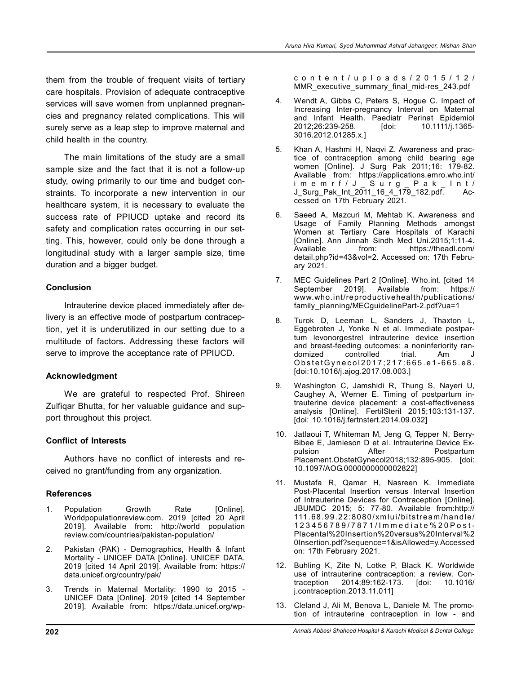them from the trouble of frequent visits of tertiary care hospitals. Provision of adequate contraceptive services will save women from unplanned pregnancies and pregnancy related complications. This will surely serve as a leap step to improve maternal and child health in the country.

The main limitations of the study are a small sample size and the fact that it is not a follow-up study, owing primarily to our time and budget constraints. To incorporate a new intervention in our healthcare system, it is necessary to evaluate the success rate of PPIUCD uptake and record its safety and complication rates occurring in our setting. This, however, could only be done through a longitudinal study with a larger sample size, time duration and a bigger budget.

#### **Conclusion**

Intrauterine device placed immediately after delivery is an effective mode of postpartum contraception, yet it is underutilized in our setting due to a multitude of factors. Addressing these factors will serve to improve the acceptance rate of PPIUCD.

## **Acknowledgment**

We are grateful to respected Prof. Shireen Zulfiqar Bhutta, for her valuable guidance and support throughout this project.

## **Conflict of Interests**

Authors have no conflict of interests and received no grant/funding from any organization.

## **References**

- 1. Population Growth Rate [Online]. Worldpopulationreview.com. 2019 [cited 20 April 2019]. Available from: http://world population review.com/countries/pakistan-population/
- 2. Pakistan (PAK) Demographics, Health & Infant Mortality - UNICEF DATA [Online]. UNICEF DATA. 2019 [cited 14 April 2019]. Available from: https:// data.unicef.org/country/pak/
- 3. Trends in Maternal Mortality: 1990 to 2015 UNICEF Data [Online]. 2019 [cited 14 September 2019]. Available from: https://data.unicef.org/wp-

c o n t e n t / u p l o a d s / 2 0 1 5 / 1 2 / MMR executive summary final mid-res 243.pdf

- 4. Wendt A, Gibbs C, Peters S, Hogue C. Impact of Increasing Inter-pregnancy Interval on Maternal and Infant Health. Paediatr Perinat Epidemiol 2012;26:239-258. [doi: 10.1111/j.1365-2012;26:239-258. 3016.2012.01285.x.]
- 5. Khan A, Hashmi H, Naqvi Z. Awareness and practice of contraception among child bearing age women [Online]. J Surg Pak 2011;16: 179-82. Available from: https://applications.emro.who.int/ i m e m r f / J \_ S u r g \_ P a k \_ I n t / J\_Surg\_Pak\_Int\_2011\_16\_4\_179\_182.pdf. Accessed on 17th February 2021.
- 6. Saeed A, Mazcuri M, Mehtab K. Awareness and Usage of Family Planning Methods amongst Women at Tertiary Care Hospitals of Karachi [Online]. Ann Jinnah Sindh Med Uni.2015;1:11-4. Available from: https://theadl.com/ detail.php?id=43&vol=2. Accessed on: 17th February 2021.
- 7. MEC Guidelines Part 2 [Online]. Who.int. [cited 14 September 2019]. Available from: https:// www.who.int/reproductivehealth/publications/ family\_planning/MECguidelinePart-2.pdf?ua=1
- 8. Turok D, Leeman L, Sanders J, Thaxton L, Eggebroten J, Yonke N et al. Immediate postpartum levonorgestrel intrauterine device insertion and breast-feeding outcomes: a noninferiority randomized controlled trial. Am J Obstet Gynecol 2017; 217: 665. e 1 - 665. e 8. [doi:10.1016/j.ajog.2017.08.003.]
- 9. Washington C, Jamshidi R, Thung S, Nayeri U, Caughey A, Werner E. Timing of postpartum intrauterine device placement: a cost-effectiveness analysis [Online]. FertilSteril 2015;103:131-137. [doi: 10.1016/j.fertnstert.2014.09.032]
- 10. Jatlaoui T, Whiteman M, Jeng G, Tepper N, Berry-Bibee E, Jamieson D et al. Intrauterine Device Expulsion **After** Postpartum Placement.ObstetGynecol2018;132:895-905. [doi: 10.1097/AOG.0000000000002822]
- 11. Mustafa R, Qamar H, Nasreen K. Immediate Post-Placental Insertion versus Interval Insertion of Intrauterine Devices for Contraception [Online]. JBUMDC 2015; 5: 77-80. Available from:http:// 111.68.99.22:8080/xmlui/bitstream/handle/ 1 2 3 4 5 6 7 8 9 / 7 8 7 1 / I m m e d i a t e % 2 0 P o s t - Placental%20Insertion%20versus%20Interval%2 0Insertion.pdf?sequence=1&isAllowed=y.Accessed on: 17th February 2021.
- 12. Buhling K, Zite N, Lotke P, Black K. Worldwide use of intrauterine contraception: a review. Contraception 2014;89:162-173. [doi: 10.1016/ traception 2014;89:162-173. j.contraception.2013.11.011]
- 13. Cleland J, Ali M, Benova L, Daniele M. The promotion of intrauterine contraception in low - and